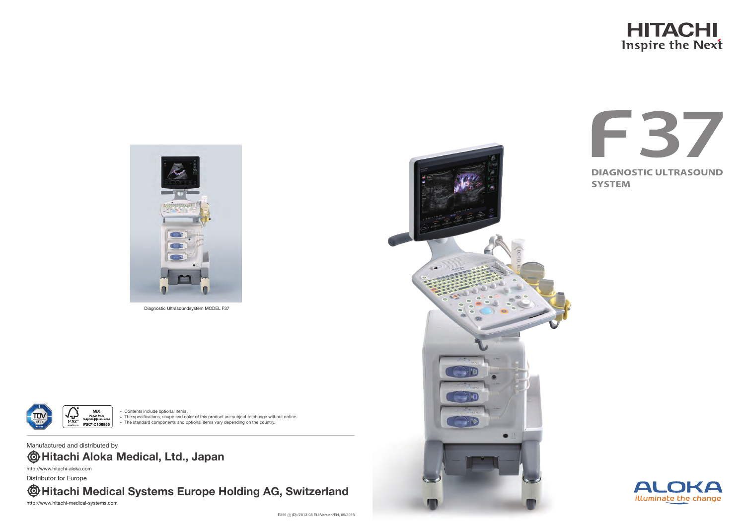#### • Contents include optional items.

• The specifications, shape and color of this product are subject to change without notice. • The standard components and optional items vary depending on the country.



Diagnostic Ultrasoundsystem MODEL F37



## **Hitachi Medical Systems Europe Holding AG, Switzerland**

**Hitachi Aloka Medical, Ltd., Japan** Manufactured and distributed by http://www.hitachi-aloka.com

Distributor for Europe

http://www.hitachi-medical-systems.com



## **HITACHI** Inspire the Next





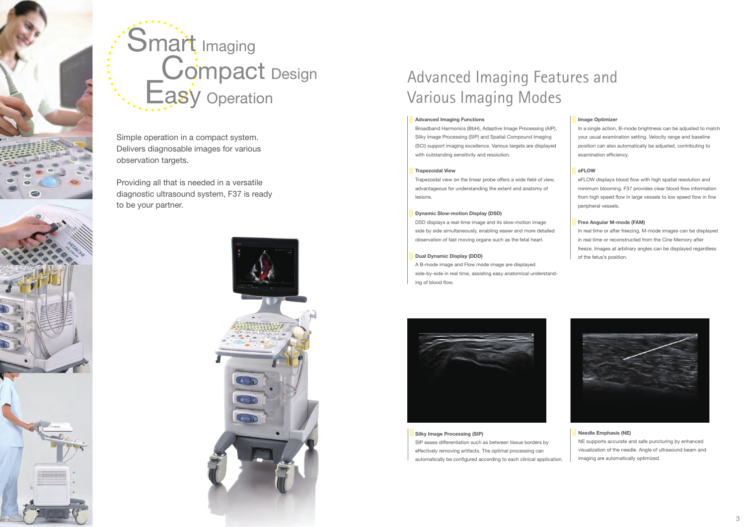



# Smart Imaging Compact Design Easy Operation

Simple operation in a compact system. Delivers diagnosable images for various observation targets.

Providing all that is needed in a versatile diagnostic ultrasound system, F37 is ready to be your partner.



## Advanced Imaging Features and Various Imaging Modes

### **Image Optimizer**

In a single action, B-mode brightness can be adjusted to match your usual examination setting. Velocity range and baseline position can also automatically be adjusted, contributing to examination efficiency.

### **eFLOW**

eFLOW displays blood flow with high spatial resolution and minimum blooming. F37 provides clear blood flow information from high speed flow in large vessels to low speed flow in fine peripheral vessels.

#### **Free Angular M-mode (FAM)**

In real time or after freezing, M-mode images can be displayed in real time or reconstructed from the Cine Memory after freeze. Images at arbitrary angles can be displayed regardless of the fetus's position.



### **Advanced Imaging Functions**

Broadband Harmonics (BbH), Adaptive Image Processing (AIP), Silky Image Processing (SIP) and Spatial Compound Imaging (SCI) support imaging excellence. Various targets are displayed with outstanding sensitivity and resolution.

### **Trapezoidal View**

Trapezoidal view on the linear probe offers a wide field of view, advantageous for understanding the extent and anatomy of lesions.

### **Dynamic Slow-motion Display (DSD)**

DSD displays a real-time image and its slow-motion image side by side simultaneously, enabling easier and more detailed observation of fast moving organs such as the fetal heart.

### **Dual Dynamic Display (DDD)**

A B-mode image and Flow mode image are displayed side-by-side in real time, assisting easy anatomical understanding of blood flow.



### **Silky Image Processing (SIP)**

SIP eases differentiation such as between tissue borders by effectively removing artifacts. The optimal processing can automatically be configured according to each clinical application.

### **Needle Emphasis (NE)**

NE supports accurate and safe puncturing by enhanced visualization of the needle. Angle of ultrasound beam and imaging are automatically optimized.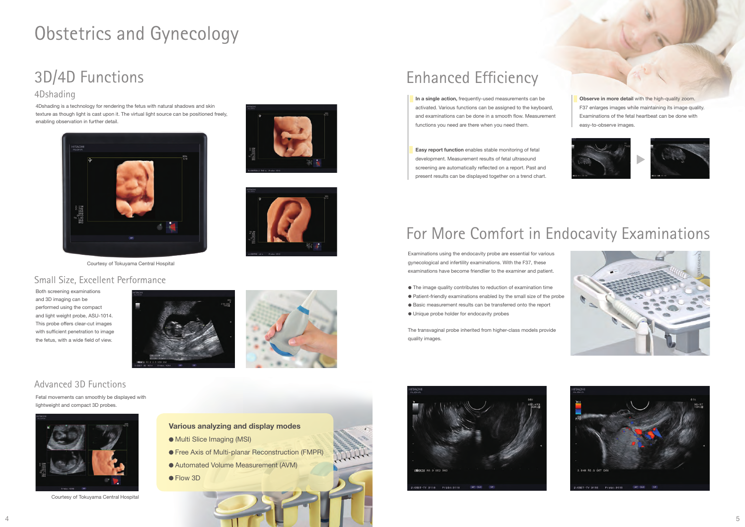## Obstetrics and Gynecology

## 3D/4D Functions

## 4Dshading

4Dshading is a technology for rendering the fetus with natural shadows and skin texture as though light is cast upon it. The virtual light source can be positioned freely, enabling observation in further detail.

Both screening examinations and 3D imaging can be performed using the compact and light weight probe, ASU-1014. This probe offers clear-cut images with sufficient penetration to image the fetus, with a wide field of view.





## Small Size, Excellent Performance



Courtesy of Tokuyama Central Hospital



Courtesy of Tokuyama Central Hospital

## Advanced 3D Functions

Fetal movements can smoothly be displayed with lightweight and compact 3D probes.

### **Various analyzing and display modes**

- $\bullet$  Multi Slice Imaging (MSI)
- **Free Axis of Multi-planar Reconstruction (FMPR)**
- Automated Volume Measurement (AVM)
- Flow 3D





## Enhanced Efficiency

**In a single action,** frequently-used measurements can be activated. Various functions can be assigned to the keyboard, and examinations can be done in a smooth flow. Measurement functions you need are there when you need them.

**Easy report function** enables stable monitoring of fetal development. Measurement results of fetal ultrasound screening are automatically reflected on a report. Past and present results can be displayed together on a trend chart. **Observe in more detail** with the high-quality zoom. F37 enlarges images while maintaining its image quality. Examinations of the fetal heartbeat can be done with easy-to-observe images.









## For More Comfort in Endocavity Examinations

Examinations using the endocavity probe are essential for various gynecological and infertility examinations. With the F37, these examinations have become friendlier to the examiner and patient.

- The image quality contributes to reduction of examination time
- Patient-friendly examinations enabled by the small size of the probe
- Basic measurement results can be transferred onto the report
- Unique probe holder for endocavity probes

The transvaginal probe inherited from higher-class models provide quality images.